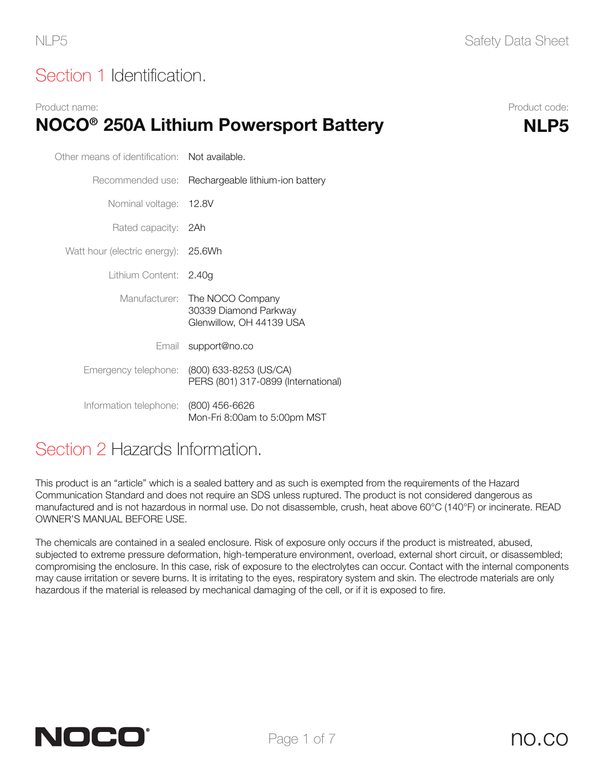## Section 1 Identification.

#### Product name: Product code: NOCO<sup>®</sup> 250A Lithium Powersport Battery MLP5

| Other means of identification: Not available. |                                                                       |  |  |
|-----------------------------------------------|-----------------------------------------------------------------------|--|--|
|                                               | Recommended use: Rechargeable lithium-ion battery                     |  |  |
| Nominal voltage: 12.8V                        |                                                                       |  |  |
| Rated capacity: 2Ah                           |                                                                       |  |  |
| Watt hour (electric energy): 25.6Wh           |                                                                       |  |  |
| Lithium Content: 2.40g                        |                                                                       |  |  |
| Manufacturer:                                 | The NOCO Company<br>30339 Diamond Parkway<br>Glenwillow, OH 44139 USA |  |  |
|                                               | Email support@no.co                                                   |  |  |
| Emergency telephone:                          | (800) 633-8253 (US/CA)<br>PERS (801) 317-0899 (International)         |  |  |
| Information telephone: (800) 456-6626         | Mon-Fri 8:00am to 5:00pm MST                                          |  |  |

#### Section 2 Hazards Information.

This product is an "article" which is a sealed battery and as such is exempted from the requirements of the Hazard Communication Standard and does not require an SDS unless ruptured. The product is not considered dangerous as manufactured and is not hazardous in normal use. Do not disassemble, crush, heat above 60°C (140°F) or incinerate. READ OWNER'S MANUAL BEFORE USE.

The chemicals are contained in a sealed enclosure. Risk of exposure only occurs if the product is mistreated, abused, subjected to extreme pressure deformation, high-temperature environment, overload, external short circuit, or disassembled; compromising the enclosure. In this case, risk of exposure to the electrolytes can occur. Contact with the internal components may cause irritation or severe burns. It is irritating to the eyes, respiratory system and skin. The electrode materials are only hazardous if the material is released by mechanical damaging of the cell, or if it is exposed to fire.

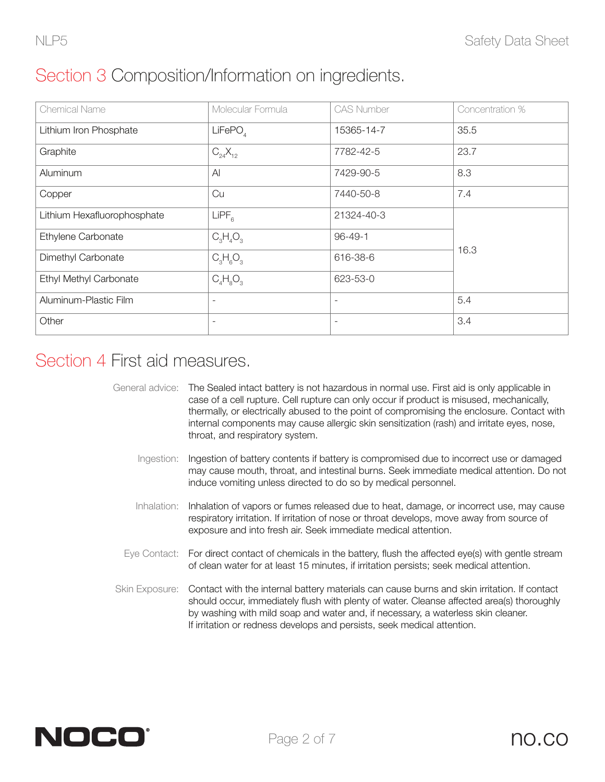| <b>Chemical Name</b>        | Molecular Formula   | <b>CAS Number</b>        | Concentration % |  |
|-----------------------------|---------------------|--------------------------|-----------------|--|
| Lithium Iron Phosphate      | LiFePO <sub>A</sub> | 15365-14-7               | 35.5            |  |
| Graphite                    | $C_{24}X_{12}$      | 7782-42-5                | 23.7            |  |
| Aluminum                    | $\mathsf{A}$        | 7429-90-5                | 8.3             |  |
| Copper                      | Cu                  | 7440-50-8                | 7.4             |  |
| Lithium Hexafluorophosphate | LIPF <sub>6</sub>   | 21324-40-3               |                 |  |
| Ethylene Carbonate          | $C_3H_4O_3$         | $96 - 49 - 1$            |                 |  |
| Dimethyl Carbonate          | $C_3H_6O_3$         | 616-38-6                 | 16.3            |  |
| Ethyl Methyl Carbonate      | $C_4H_8O_3$         | 623-53-0                 |                 |  |
| Aluminum-Plastic Film       |                     | $\overline{\phantom{a}}$ | 5.4             |  |
| Other                       |                     | $\overline{\phantom{a}}$ | 3.4             |  |

# Section 4 First aid measures.

| General advice: The Sealed intact battery is not hazardous in normal use. First aid is only applicable in |
|-----------------------------------------------------------------------------------------------------------|
| case of a cell rupture. Cell rupture can only occur if product is misused, mechanically,                  |
| thermally, or electrically abused to the point of compromising the enclosure. Contact with                |
| internal components may cause allergic skin sensitization (rash) and irritate eyes, nose,                 |
| throat, and respiratory system.                                                                           |

- Ingestion: Ingestion of battery contents if battery is compromised due to incorrect use or damaged may cause mouth, throat, and intestinal burns. Seek immediate medical attention. Do not induce vomiting unless directed to do so by medical personnel.
- Inhalation: Inhalation of vapors or fumes released due to heat, damage, or incorrect use, may cause respiratory irritation. If irritation of nose or throat develops, move away from source of exposure and into fresh air. Seek immediate medical attention.
- Eye Contact: For direct contact of chemicals in the battery, flush the affected eye(s) with gentle stream of clean water for at least 15 minutes, if irritation persists; seek medical attention.
- Skin Exposure: Contact with the internal battery materials can cause burns and skin irritation. If contact should occur, immediately flush with plenty of water. Cleanse affected area(s) thoroughly by washing with mild soap and water and, if necessary, a waterless skin cleaner. If irritation or redness develops and persists, seek medical attention.

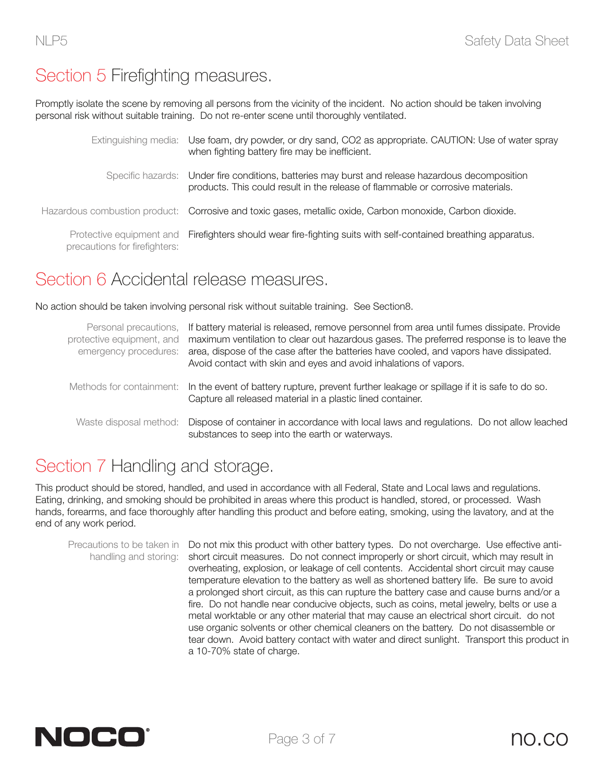## Section 5 Firefighting measures.

Promptly isolate the scene by removing all persons from the vicinity of the incident. No action should be taken involving personal risk without suitable training. Do not re-enter scene until thoroughly ventilated.

|                               | Extinguishing media: Use foam, dry powder, or dry sand, CO2 as appropriate. CAUTION: Use of water spray<br>when fighting battery fire may be inefficient.                           |
|-------------------------------|-------------------------------------------------------------------------------------------------------------------------------------------------------------------------------------|
|                               | Specific hazards: Under fire conditions, batteries may burst and release hazardous decomposition<br>products. This could result in the release of flammable or corrosive materials. |
|                               | Hazardous combustion product: Corrosive and toxic gases, metallic oxide, Carbon monoxide, Carbon dioxide.                                                                           |
| precautions for firefighters: | Protective equipment and Firefighters should wear fire-fighting suits with self-contained breathing apparatus.                                                                      |

#### Section 6 Accidental release measures.

No action should be taken involving personal risk without suitable training. See Section8.

| protective equipment, and<br>emergency procedures: | Personal precautions, If battery material is released, remove personnel from area until fumes dissipate. Provide<br>maximum ventilation to clear out hazardous gases. The preferred response is to leave the<br>area, dispose of the case after the batteries have cooled, and vapors have dissipated.<br>Avoid contact with skin and eyes and avoid inhalations of vapors. |  |  |
|----------------------------------------------------|-----------------------------------------------------------------------------------------------------------------------------------------------------------------------------------------------------------------------------------------------------------------------------------------------------------------------------------------------------------------------------|--|--|
|                                                    | Methods for containment: In the event of battery rupture, prevent further leakage or spillage if it is safe to do so.<br>Capture all released material in a plastic lined container.                                                                                                                                                                                        |  |  |
|                                                    | Waste disposal method: Dispose of container in accordance with local laws and regulations. Do not allow leached<br>substances to seep into the earth or waterways.                                                                                                                                                                                                          |  |  |

## Section 7 Handling and storage.

This product should be stored, handled, and used in accordance with all Federal, State and Local laws and regulations. Eating, drinking, and smoking should be prohibited in areas where this product is handled, stored, or processed. Wash hands, forearms, and face thoroughly after handling this product and before eating, smoking, using the lavatory, and at the end of any work period.

Precautions to be taken in Do not mix this product with other battery types. Do not overcharge. Use effective antihandling and storing: short circuit measures. Do not connect improperly or short circuit, which may result in overheating, explosion, or leakage of cell contents. Accidental short circuit may cause temperature elevation to the battery as well as shortened battery life. Be sure to avoid a prolonged short circuit, as this can rupture the battery case and cause burns and/or a fire. Do not handle near conducive objects, such as coins, metal jewelry, belts or use a metal worktable or any other material that may cause an electrical short circuit. do not use organic solvents or other chemical cleaners on the battery. Do not disassemble or tear down. Avoid battery contact with water and direct sunlight. Transport this product in a 10-70% state of charge.

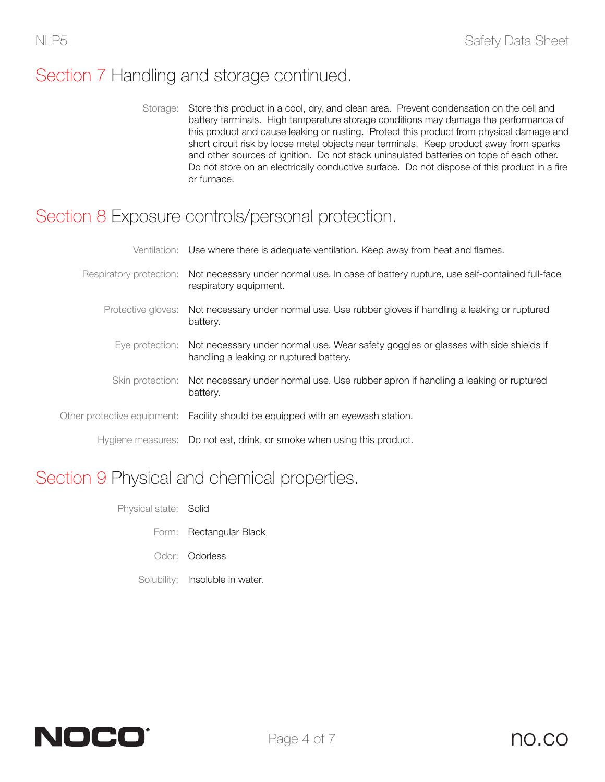## Section 7 Handling and storage continued.

Storage: Store this product in a cool, dry, and clean area. Prevent condensation on the cell and battery terminals. High temperature storage conditions may damage the performance of this product and cause leaking or rusting. Protect this product from physical damage and short circuit risk by loose metal objects near terminals. Keep product away from sparks and other sources of ignition. Do not stack uninsulated batteries on tope of each other. Do not store on an electrically conductive surface. Do not dispose of this product in a fire or furnace.

#### Section 8 Exposure controls/personal protection.

| Ventilation: Use where there is adequate ventilation. Keep away from heat and flames.                                                          |
|------------------------------------------------------------------------------------------------------------------------------------------------|
| Respiratory protection: Not necessary under normal use. In case of battery rupture, use self-contained full-face<br>respiratory equipment.     |
| Protective gloves: Not necessary under normal use. Use rubber gloves if handling a leaking or ruptured<br>battery.                             |
| Eye protection: Not necessary under normal use. Wear safety goggles or glasses with side shields if<br>handling a leaking or ruptured battery. |
| Skin protection: Not necessary under normal use. Use rubber apron if handling a leaking or ruptured<br>battery.                                |
| Other protective equipment: Facility should be equipped with an eyewash station.                                                               |
| Hygiene measures: Do not eat, drink, or smoke when using this product.                                                                         |

## Section 9 Physical and chemical properties.

- Physical state: Solid
	- Form: Rectangular Black
	- Odor: Odorless
	- Solubility: Insoluble in water.

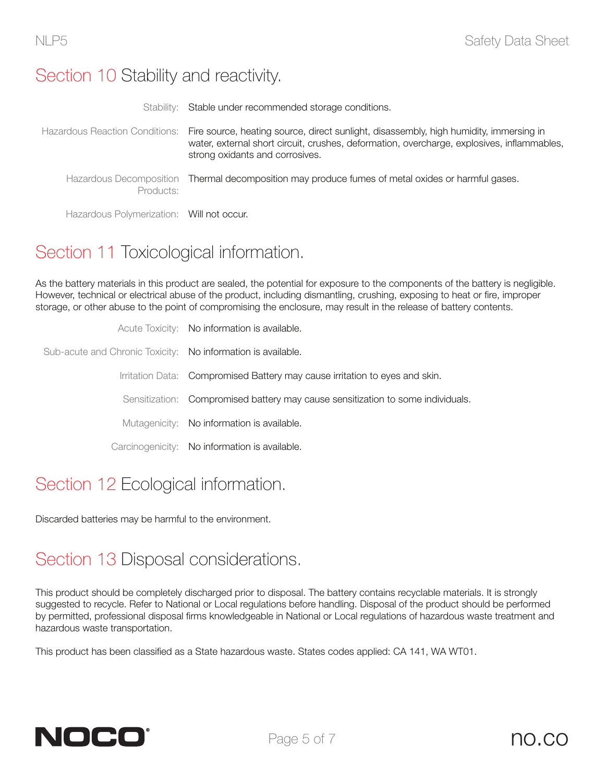#### Section 10 Stability and reactivity.

|                                           | Stability: Stable under recommended storage conditions.                                                                                                                                                                                                |
|-------------------------------------------|--------------------------------------------------------------------------------------------------------------------------------------------------------------------------------------------------------------------------------------------------------|
|                                           | Hazardous Reaction Conditions: Fire source, heating source, direct sunlight, disassembly, high humidity, immersing in<br>water, external short circuit, crushes, deformation, overcharge, explosives, inflammables,<br>strong oxidants and corrosives. |
| Products:                                 | Hazardous Decomposition Thermal decomposition may produce fumes of metal oxides or harmful gases.                                                                                                                                                      |
| Hazardous Polymerization: Will not occur. |                                                                                                                                                                                                                                                        |

# Section 11 Toxicological information.

As the battery materials in this product are sealed, the potential for exposure to the components of the battery is negligible. However, technical or electrical abuse of the product, including dismantling, crushing, exposing to heat or fire, improper storage, or other abuse to the point of compromising the enclosure, may result in the release of battery contents.

|                                                              | Acute Toxicity: No information is available.                                    |
|--------------------------------------------------------------|---------------------------------------------------------------------------------|
| Sub-acute and Chronic Toxicity: No information is available. |                                                                                 |
|                                                              | Irritation Data: Compromised Battery may cause irritation to eyes and skin.     |
|                                                              | Sensitization: Compromised battery may cause sensitization to some individuals. |
|                                                              | Mutagenicity: No information is available.                                      |
|                                                              | Carcinogenicity: No information is available.                                   |
|                                                              |                                                                                 |

# Section 12 Ecological information.

Discarded batteries may be harmful to the environment.

## Section 13 Disposal considerations.

This product should be completely discharged prior to disposal. The battery contains recyclable materials. It is strongly suggested to recycle. Refer to National or Local regulations before handling. Disposal of the product should be performed by permitted, professional disposal firms knowledgeable in National or Local regulations of hazardous waste treatment and hazardous waste transportation.

This product has been classified as a State hazardous waste. States codes applied: CA 141, WA WT01.

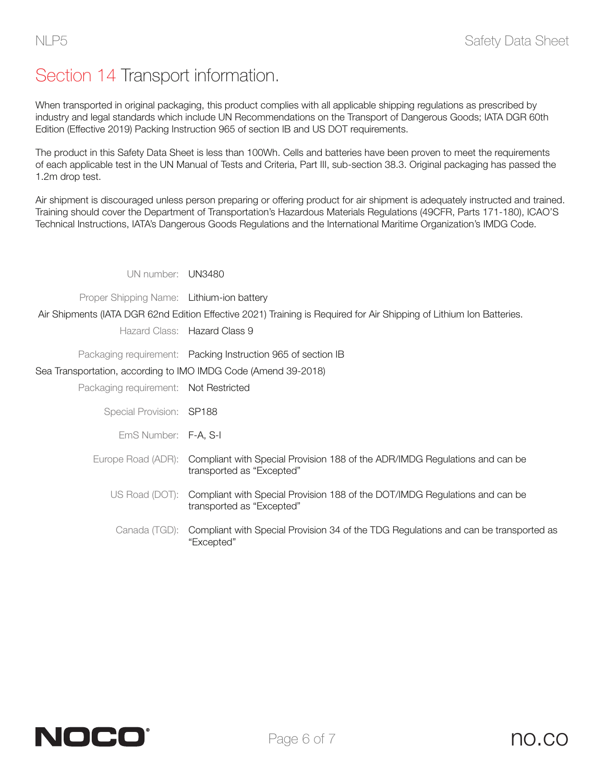# Section 14 Transport information.

When transported in original packaging, this product complies with all applicable shipping regulations as prescribed by industry and legal standards which include UN Recommendations on the Transport of Dangerous Goods; IATA DGR 60th Edition (Effective 2019) Packing Instruction 965 of section IB and US DOT requirements.

The product in this Safety Data Sheet is less than 100Wh. Cells and batteries have been proven to meet the requirements of each applicable test in the UN Manual of Tests and Criteria, Part III, sub-section 38.3. Original packaging has passed the 1.2m drop test.

Air shipment is discouraged unless person preparing or offering product for air shipment is adequately instructed and trained. Training should cover the Department of Transportation's Hazardous Materials Regulations (49CFR, Parts 171-180), ICAO'S Technical Instructions, IATA's Dangerous Goods Regulations and the International Maritime Organization's IMDG Code.

UN number: UN3480

Proper Shipping Name: Lithium-ion battery

Air Shipments (IATA DGR 62nd Edition Effective 2021) Training is Required for Air Shipping of Lithium Ion Batteries.

Hazard Class: Hazard Class 9

Packaging requirement: Packing Instruction 965 of section IB

Sea Transportation, according to IMO IMDG Code (Amend 39-2018)

Packaging requirement: Not Restricted

Special Provision: SP188

EmS Number: F-A, S-I

- Europe Road (ADR): Compliant with Special Provision 188 of the ADR/IMDG Regulations and can be transported as "Excepted"
	- US Road (DOT): Compliant with Special Provision 188 of the DOT/IMDG Regulations and can be transported as "Excepted"
		- Canada (TGD): Compliant with Special Provision 34 of the TDG Regulations and can be transported as "Excepted"